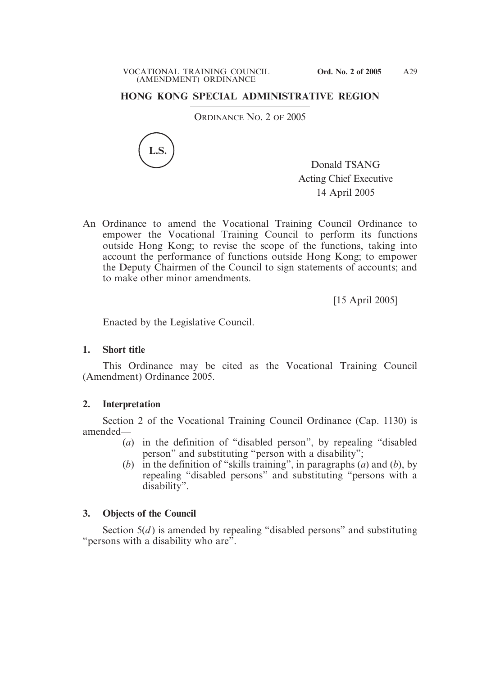## **HONG KONG SPECIAL ADMINISTRATIVE REGION**

ORDINANCE NO. 2 OF 2005



Donald TSANG Acting Chief Executive 14 April 2005

An Ordinance to amend the Vocational Training Council Ordinance to empower the Vocational Training Council to perform its functions outside Hong Kong; to revise the scope of the functions, taking into account the performance of functions outside Hong Kong; to empower the Deputy Chairmen of the Council to sign statements of accounts; and to make other minor amendments.

[15 April 2005]

Enacted by the Legislative Council.

### **1. Short title**

This Ordinance may be cited as the Vocational Training Council (Amendment) Ordinance 2005.

## **2. Interpretation**

Section 2 of the Vocational Training Council Ordinance (Cap. 1130) is amended—

- (*a*) in the definition of "disabled person", by repealing "disabled person" and substituting "person with a disability";
- (*b*) in the definition of "skills training", in paragraphs (*a*) and (*b*), by repealing "disabled persons" and substituting "persons with a disability".

# **3. Objects of the Council**

Section  $5(d)$  is amended by repealing "disabled persons" and substituting "persons with a disability who are".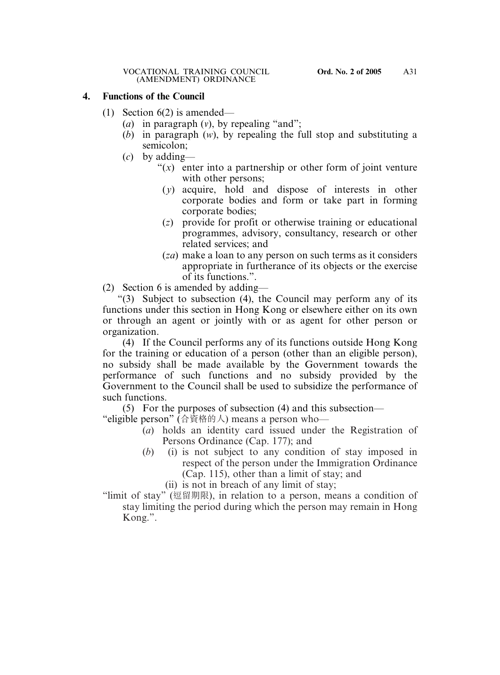### **4. Functions of the Council**

- (1) Section 6(2) is amended—
	- (*a*) in paragraph (*v*), by repealing "and";
	- (*b*) in paragraph (*w*), by repealing the full stop and substituting a semicolon;
	- (*c*) by adding—
		- "(*x*) enter into a partnership or other form of joint venture with other persons;
			- (*y*) acquire, hold and dispose of interests in other corporate bodies and form or take part in forming corporate bodies;
			- (*z*) provide for profit or otherwise training or educational programmes, advisory, consultancy, research or other related services; and
			- (*za*) make a loan to any person on such terms as it considers appropriate in furtherance of its objects or the exercise of its functions.".

(2) Section 6 is amended by adding—

"(3) Subject to subsection (4), the Council may perform any of its functions under this section in Hong Kong or elsewhere either on its own or through an agent or jointly with or as agent for other person or organization.

(4) If the Council performs any of its functions outside Hong Kong for the training or education of a person (other than an eligible person), no subsidy shall be made available by the Government towards the performance of such functions and no subsidy provided by the Government to the Council shall be used to subsidize the performance of such functions.

(5) For the purposes of subsection (4) and this subsection— "eligible person" (合資格的人) means a person who—

- (*a*) holds an identity card issued under the Registration of Persons Ordinance (Cap. 177); and
- (*b*) (i) is not subject to any condition of stay imposed in respect of the person under the Immigration Ordinance (Cap. 115), other than a limit of stay; and

(ii) is not in breach of any limit of stay;

"limit of stay" (逗留期限), in relation to a person, means a condition of stay limiting the period during which the person may remain in Hong Kong.".